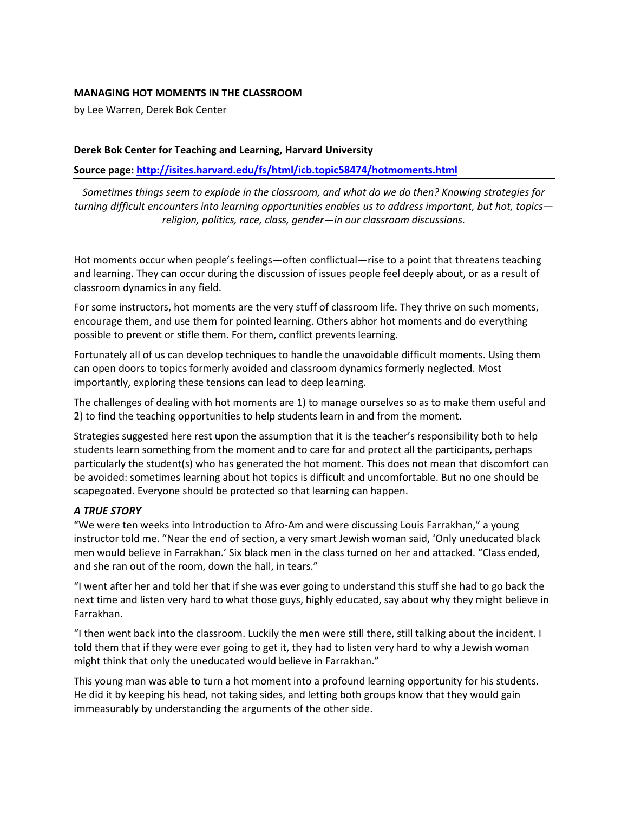### **MANAGING HOT MOMENTS IN THE CLASSROOM**

by Lee Warren, Derek Bok Center

### **Derek Bok Center for Teaching and Learning, Harvard University**

**Source page: <http://isites.harvard.edu/fs/html/icb.topic58474/hotmoments.html>**

*Sometimes things seem to explode in the classroom, and what do we do then? Knowing strategies for turning difficult encounters into learning opportunities enables us to address important, but hot, topics religion, politics, race, class, gender—in our classroom discussions.*

Hot moments occur when people's feelings—often conflictual—rise to a point that threatens teaching and learning. They can occur during the discussion of issues people feel deeply about, or as a result of classroom dynamics in any field.

For some instructors, hot moments are the very stuff of classroom life. They thrive on such moments, encourage them, and use them for pointed learning. Others abhor hot moments and do everything possible to prevent or stifle them. For them, conflict prevents learning.

Fortunately all of us can develop techniques to handle the unavoidable difficult moments. Using them can open doors to topics formerly avoided and classroom dynamics formerly neglected. Most importantly, exploring these tensions can lead to deep learning.

The challenges of dealing with hot moments are 1) to manage ourselves so as to make them useful and 2) to find the teaching opportunities to help students learn in and from the moment.

Strategies suggested here rest upon the assumption that it is the teacher's responsibility both to help students learn something from the moment and to care for and protect all the participants, perhaps particularly the student(s) who has generated the hot moment. This does not mean that discomfort can be avoided: sometimes learning about hot topics is difficult and uncomfortable. But no one should be scapegoated. Everyone should be protected so that learning can happen.

#### *A TRUE STORY*

"We were ten weeks into Introduction to Afro-Am and were discussing Louis Farrakhan," a young instructor told me. "Near the end of section, a very smart Jewish woman said, 'Only uneducated black men would believe in Farrakhan.' Six black men in the class turned on her and attacked. "Class ended, and she ran out of the room, down the hall, in tears."

"I went after her and told her that if she was ever going to understand this stuff she had to go back the next time and listen very hard to what those guys, highly educated, say about why they might believe in Farrakhan.

"I then went back into the classroom. Luckily the men were still there, still talking about the incident. I told them that if they were ever going to get it, they had to listen very hard to why a Jewish woman might think that only the uneducated would believe in Farrakhan."

This young man was able to turn a hot moment into a profound learning opportunity for his students. He did it by keeping his head, not taking sides, and letting both groups know that they would gain immeasurably by understanding the arguments of the other side.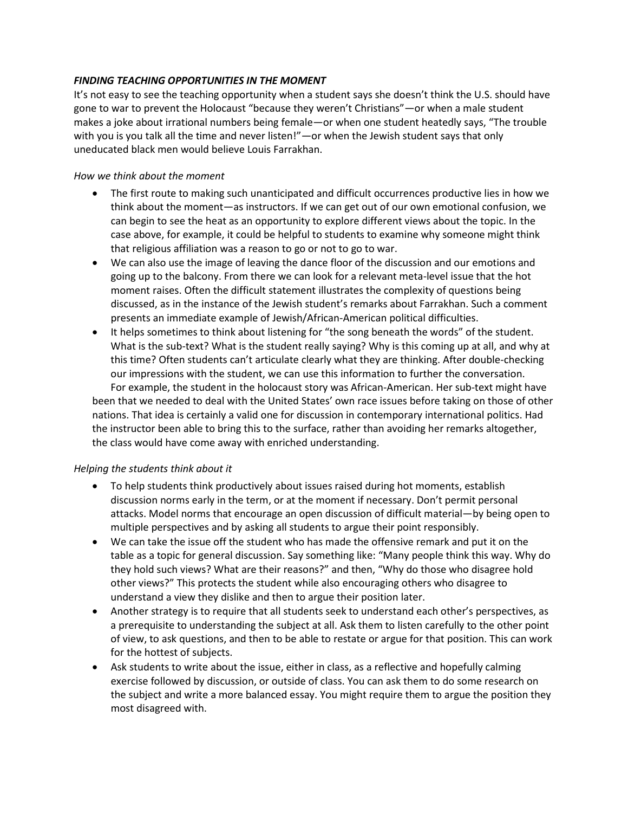# *FINDING TEACHING OPPORTUNITIES IN THE MOMENT*

It's not easy to see the teaching opportunity when a student says she doesn't think the U.S. should have gone to war to prevent the Holocaust "because they weren't Christians"—or when a male student makes a joke about irrational numbers being female—or when one student heatedly says, "The trouble with you is you talk all the time and never listen!"—or when the Jewish student says that only uneducated black men would believe Louis Farrakhan.

### *How we think about the moment*

- The first route to making such unanticipated and difficult occurrences productive lies in how we think about the moment—as instructors. If we can get out of our own emotional confusion, we can begin to see the heat as an opportunity to explore different views about the topic. In the case above, for example, it could be helpful to students to examine why someone might think that religious affiliation was a reason to go or not to go to war.
- We can also use the image of leaving the dance floor of the discussion and our emotions and going up to the balcony. From there we can look for a relevant meta-level issue that the hot moment raises. Often the difficult statement illustrates the complexity of questions being discussed, as in the instance of the Jewish student's remarks about Farrakhan. Such a comment presents an immediate example of Jewish/African-American political difficulties.
- It helps sometimes to think about listening for "the song beneath the words" of the student. What is the sub-text? What is the student really saying? Why is this coming up at all, and why at this time? Often students can't articulate clearly what they are thinking. After double-checking our impressions with the student, we can use this information to further the conversation. For example, the student in the holocaust story was African-American. Her sub-text might have

been that we needed to deal with the United States' own race issues before taking on those of other nations. That idea is certainly a valid one for discussion in contemporary international politics. Had the instructor been able to bring this to the surface, rather than avoiding her remarks altogether, the class would have come away with enriched understanding.

## *Helping the students think about it*

- To help students think productively about issues raised during hot moments, establish discussion norms early in the term, or at the moment if necessary. Don't permit personal attacks. Model norms that encourage an open discussion of difficult material—by being open to multiple perspectives and by asking all students to argue their point responsibly.
- We can take the issue off the student who has made the offensive remark and put it on the table as a topic for general discussion. Say something like: "Many people think this way. Why do they hold such views? What are their reasons?" and then, "Why do those who disagree hold other views?" This protects the student while also encouraging others who disagree to understand a view they dislike and then to argue their position later.
- Another strategy is to require that all students seek to understand each other's perspectives, as a prerequisite to understanding the subject at all. Ask them to listen carefully to the other point of view, to ask questions, and then to be able to restate or argue for that position. This can work for the hottest of subjects.
- Ask students to write about the issue, either in class, as a reflective and hopefully calming exercise followed by discussion, or outside of class. You can ask them to do some research on the subject and write a more balanced essay. You might require them to argue the position they most disagreed with.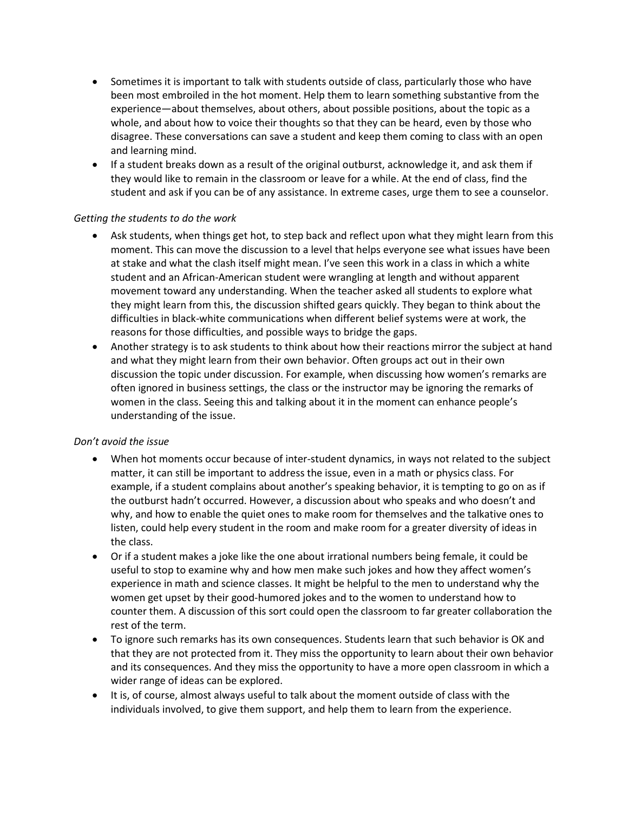- Sometimes it is important to talk with students outside of class, particularly those who have been most embroiled in the hot moment. Help them to learn something substantive from the experience—about themselves, about others, about possible positions, about the topic as a whole, and about how to voice their thoughts so that they can be heard, even by those who disagree. These conversations can save a student and keep them coming to class with an open and learning mind.
- If a student breaks down as a result of the original outburst, acknowledge it, and ask them if they would like to remain in the classroom or leave for a while. At the end of class, find the student and ask if you can be of any assistance. In extreme cases, urge them to see a counselor.

## *Getting the students to do the work*

- Ask students, when things get hot, to step back and reflect upon what they might learn from this moment. This can move the discussion to a level that helps everyone see what issues have been at stake and what the clash itself might mean. I've seen this work in a class in which a white student and an African-American student were wrangling at length and without apparent movement toward any understanding. When the teacher asked all students to explore what they might learn from this, the discussion shifted gears quickly. They began to think about the difficulties in black-white communications when different belief systems were at work, the reasons for those difficulties, and possible ways to bridge the gaps.
- Another strategy is to ask students to think about how their reactions mirror the subject at hand and what they might learn from their own behavior. Often groups act out in their own discussion the topic under discussion. For example, when discussing how women's remarks are often ignored in business settings, the class or the instructor may be ignoring the remarks of women in the class. Seeing this and talking about it in the moment can enhance people's understanding of the issue.

# *Don't avoid the issue*

- When hot moments occur because of inter-student dynamics, in ways not related to the subject matter, it can still be important to address the issue, even in a math or physics class. For example, if a student complains about another's speaking behavior, it is tempting to go on as if the outburst hadn't occurred. However, a discussion about who speaks and who doesn't and why, and how to enable the quiet ones to make room for themselves and the talkative ones to listen, could help every student in the room and make room for a greater diversity of ideas in the class.
- Or if a student makes a joke like the one about irrational numbers being female, it could be useful to stop to examine why and how men make such jokes and how they affect women's experience in math and science classes. It might be helpful to the men to understand why the women get upset by their good-humored jokes and to the women to understand how to counter them. A discussion of this sort could open the classroom to far greater collaboration the rest of the term.
- To ignore such remarks has its own consequences. Students learn that such behavior is OK and that they are not protected from it. They miss the opportunity to learn about their own behavior and its consequences. And they miss the opportunity to have a more open classroom in which a wider range of ideas can be explored.
- It is, of course, almost always useful to talk about the moment outside of class with the individuals involved, to give them support, and help them to learn from the experience.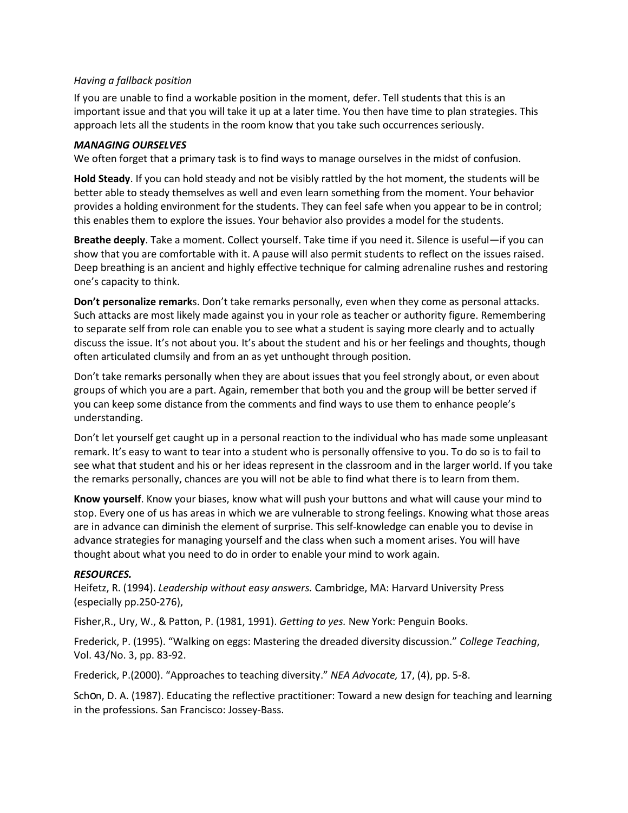## *Having a fallback position*

If you are unable to find a workable position in the moment, defer. Tell students that this is an important issue and that you will take it up at a later time. You then have time to plan strategies. This approach lets all the students in the room know that you take such occurrences seriously.

### *MANAGING OURSELVES*

We often forget that a primary task is to find ways to manage ourselves in the midst of confusion.

**Hold Steady**. If you can hold steady and not be visibly rattled by the hot moment, the students will be better able to steady themselves as well and even learn something from the moment. Your behavior provides a holding environment for the students. They can feel safe when you appear to be in control; this enables them to explore the issues. Your behavior also provides a model for the students.

**Breathe deeply**. Take a moment. Collect yourself. Take time if you need it. Silence is useful—if you can show that you are comfortable with it. A pause will also permit students to reflect on the issues raised. Deep breathing is an ancient and highly effective technique for calming adrenaline rushes and restoring one's capacity to think.

**Don't personalize remark**s. Don't take remarks personally, even when they come as personal attacks. Such attacks are most likely made against you in your role as teacher or authority figure. Remembering to separate self from role can enable you to see what a student is saying more clearly and to actually discuss the issue. It's not about you. It's about the student and his or her feelings and thoughts, though often articulated clumsily and from an as yet unthought through position.

Don't take remarks personally when they are about issues that you feel strongly about, or even about groups of which you are a part. Again, remember that both you and the group will be better served if you can keep some distance from the comments and find ways to use them to enhance people's understanding.

Don't let yourself get caught up in a personal reaction to the individual who has made some unpleasant remark. It's easy to want to tear into a student who is personally offensive to you. To do so is to fail to see what that student and his or her ideas represent in the classroom and in the larger world. If you take the remarks personally, chances are you will not be able to find what there is to learn from them.

**Know yourself**. Know your biases, know what will push your buttons and what will cause your mind to stop. Every one of us has areas in which we are vulnerable to strong feelings. Knowing what those areas are in advance can diminish the element of surprise. This self-knowledge can enable you to devise in advance strategies for managing yourself and the class when such a moment arises. You will have thought about what you need to do in order to enable your mind to work again.

## *RESOURCES.*

Heifetz, R. (1994). *Leadership without easy answers.* Cambridge, MA: Harvard University Press (especially pp.250-276),

Fisher,R., Ury, W., & Patton, P. (1981, 1991). *Getting to yes.* New York: Penguin Books.

Frederick, P. (1995). "Walking on eggs: Mastering the dreaded diversity discussion." *College Teaching*, Vol. 43/No. 3, pp. 83-92.

Frederick, P.(2000). "Approaches to teaching diversity." *NEA Advocate,* 17, (4), pp. 5-8.

Schon, D. A. (1987). Educating the reflective practitioner: Toward a new design for teaching and learning in the professions. San Francisco: Jossey-Bass.